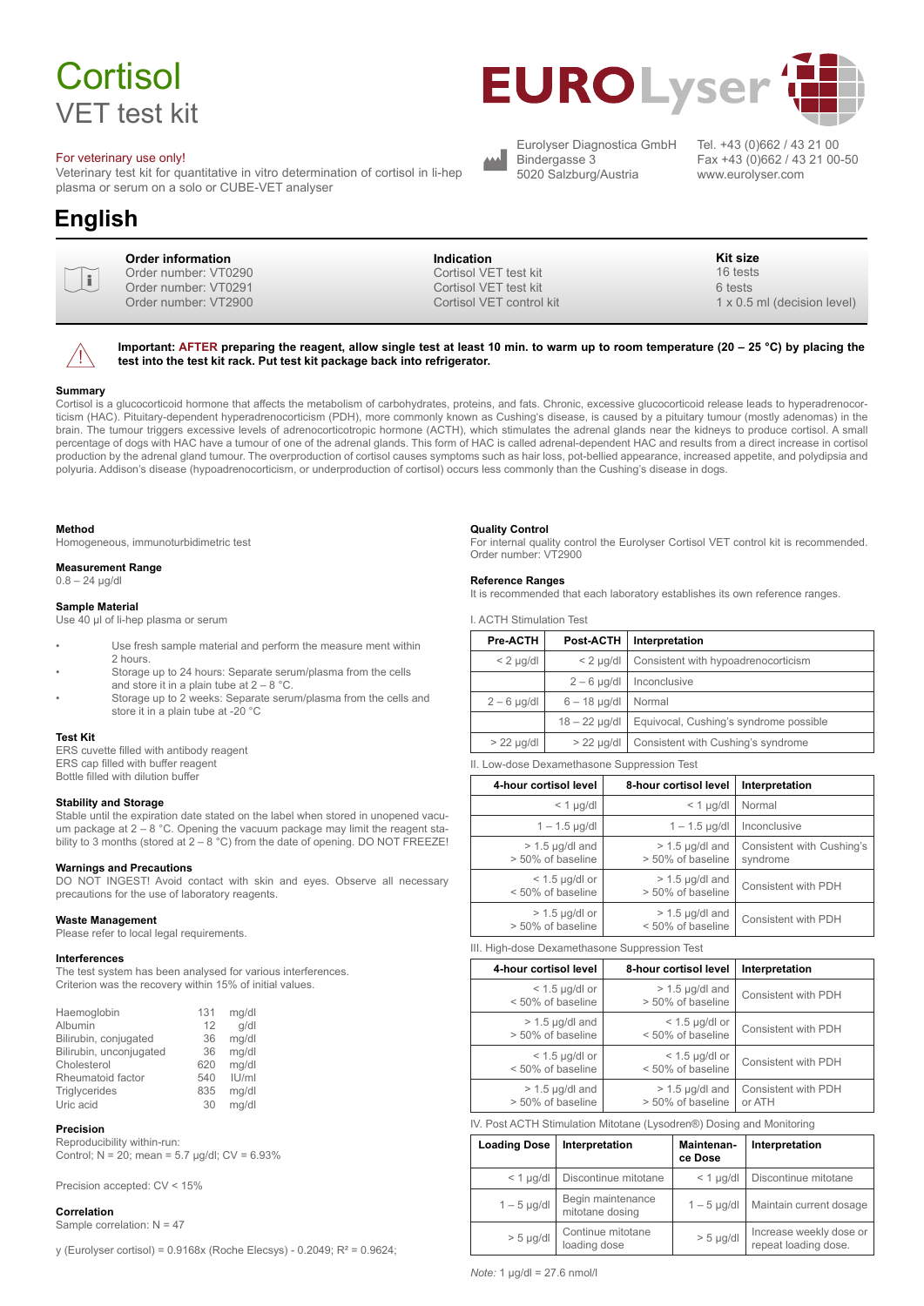# **Cortisol** VET test kit

#### For veterinary use only!

Veterinary test kit for quantitative in vitro determination of cortisol in li-hep plasma or serum on a solo or CUBE-VET analyser

## **English**





**Important: AFTER preparing the reagent, allow single test at least 10 min. to warm up to room temperature (20 – 25 °C) by placing the test into the test kit rack. Put test kit package back into refrigerator.**

۸

#### **Summary**

Cortisol is a glucocorticoid hormone that affects the metabolism of carbohydrates, proteins, and fats. Chronic, excessive glucocorticoid release leads to hyperadrenocorticism (HAC). Pituitary-dependent hyperadrenocorticism (PDH), more commonly known as Cushing's disease, is caused by a pituitary tumour (mostly adenomas) in the brain. The tumour triggers excessive levels of adrenocorticotropic hormone (ACTH), which stimulates the adrenal glands near the kidneys to produce cortisol. A small percentage of dogs with HAC have a tumour of one of the adrenal glands. This form of HAC is called adrenal-dependent HAC and results from a direct increase in cortisol production by the adrenal gland tumour. The overproduction of cortisol causes symptoms such as hair loss, pot-bellied appearance, increased appetite, and polydipsia and polyuria. Addison's disease (hypoadrenocorticism, or underproduction of cortisol) occurs less commonly than the Cushing's disease in dogs.

#### **Method**

Homogeneous, immunoturbidimetric test

#### **Measurement Range**

 $0.8 - 24$  µg/dl

#### **Sample Material**

Use 40 µl of li-hep plasma or serum

- Use fresh sample material and perform the measure ment within 2 hours.
- Storage up to 24 hours: Separate serum/plasma from the cells and store it in a plain tube at  $2 - 8$  °C.
- Storage up to 2 weeks: Separate serum/plasma from the cells and store it in a plain tube at -20 °C

#### **Test Kit**

ERS cuvette filled with antibody reagent ERS cap filled with buffer reagent Bottle filled with dilution buffer

#### **Stability and Storage**

Stable until the expiration date stated on the label when stored in unopened vacuum package at 2 – 8 °C. Opening the vacuum package may limit the reagent stability to 3 months (stored at 2 – 8 °C) from the date of opening. DO NOT FREEZE!

#### **Warnings and Precautions**

DO NOT INGEST! Avoid contact with skin and eyes. Observe all necessary precautions for the use of laboratory reagents.

#### **Waste Management**

Please refer to local legal requirements.

#### **Interferences**

The test system has been analysed for various interferences. Criterion was the recovery within 15% of initial values.

| Haemoglobin             | 131 | mg/dl |
|-------------------------|-----|-------|
| Albumin                 | 12  | q/dl  |
| Bilirubin, conjugated   | 36  | mg/dl |
| Bilirubin, unconjugated | 36  | mg/dl |
| Cholesterol             | 620 | mg/dl |
| Rheumatoid factor       | 540 | U/m   |
| Triglycerides           | 835 | mg/dl |
| Uric acid               | 30  | mg/dl |

#### **Precision**

Reproducibility within-run: Control;  $N = 20$ ; mean = 5.7 µg/dl;  $CV = 6.93\%$ 

Precision accepted: CV < 15%

#### **Correlation**

Sample correlation: N = 47

y (Eurolyser cortisol) = 0.9168x (Roche Elecsys) - 0.2049; R² = 0.9624;

#### **Quality Control**

For internal quality control the Eurolyser Cortisol VET control kit is recommended. Order number: VT2900

#### **Reference Ranges**

It is recommended that each laboratory establishes its own reference ranges.

I. ACTH Stimulation Test

| <b>Pre-ACTH</b> | Post-ACTH       | Interpretation                         |  |
|-----------------|-----------------|----------------------------------------|--|
| $< 2$ µg/dl     | $< 2$ µg/dl     | Consistent with hypoadrenocorticism    |  |
|                 | $2 - 6$ µg/dl   | Inconclusive                           |  |
| $2-6$ µg/dl     | $6 - 18$ µg/dl  | Normal                                 |  |
|                 | $18 - 22$ µg/dl | Equivocal, Cushing's syndrome possible |  |
| $> 22$ µg/dl    | $> 22$ µg/dl    | Consistent with Cushing's syndrome     |  |
|                 |                 |                                        |  |

II. Low-dose Dexamethasone Suppression Test

| 4-hour cortisol level                  | 8-hour cortisol level                  | Interpretation                        |
|----------------------------------------|----------------------------------------|---------------------------------------|
| $<$ 1 $\mu$ g/dl                       | $<$ 1 $\mu$ g/dl                       | Normal                                |
| $1 - 1.5$ µg/dl                        | $1 - 1.5$ µg/dl                        | Inconclusive                          |
| $> 1.5$ µg/dl and<br>> 50% of baseline | $> 1.5$ µg/dl and<br>> 50% of baseline | Consistent with Cushing's<br>syndrome |
| $<$ 1.5 µg/dl or<br>< 50% of baseline  | $> 1.5$ µg/dl and<br>> 50% of baseline | Consistent with PDH                   |
| $> 1.5$ µg/dl or<br>> 50% of baseline  | $>$ 1.5 µg/dl and<br>< 50% of baseline | Consistent with PDH                   |

III. High-dose Dexamethasone Suppression Test

| 4-hour cortisol level                  | 8-hour cortisol level                  | Interpretation                |
|----------------------------------------|----------------------------------------|-------------------------------|
| $<$ 1.5 µg/dl or<br>< 50% of baseline  | $> 1.5$ µg/dl and<br>> 50% of baseline | Consistent with PDH           |
| $> 1.5$ µg/dl and<br>> 50% of baseline | $<$ 1.5 µg/dl or<br>< 50% of baseline  | Consistent with PDH           |
| $<$ 1.5 µg/dl or<br>< 50% of baseline  | $<$ 1.5 µg/dl or<br>< 50% of baseline  | Consistent with PDH           |
| $> 1.5$ µg/dl and<br>> 50% of baseline | $> 1.5$ µg/dl and<br>> 50% of baseline | Consistent with PDH<br>or ATH |

IV. Post ACTH Stimulation Mitotane (Lysodren®) Dosing and Monitoring

| <b>Loading Dose</b> | Interpretation                       | Maintenan-<br>ce Dose | Interpretation                                  |
|---------------------|--------------------------------------|-----------------------|-------------------------------------------------|
| $<$ 1 $\mu$ g/dl    | Discontinue mitotane                 | $<$ 1 $\mu$ g/dl      | Discontinue mitotane                            |
| $1-5$ µg/dl         | Begin maintenance<br>mitotane dosing | $1-5$ µg/dl           | Maintain current dosage                         |
| $> 5$ µg/dl         | Continue mitotane<br>loading dose    | $> 5$ µg/dl           | Increase weekly dose or<br>repeat loading dose. |

*Note:* 1 µg/dl = 27.6 nmol/l



Eurolyser Diagnostica GmbH Bindergasse 3 5020 Salzburg/Austria

Tel. +43 (0)662 / 43 21 00 Fax +43 (0)662 / 43 21 00-50 www.eurolyser.com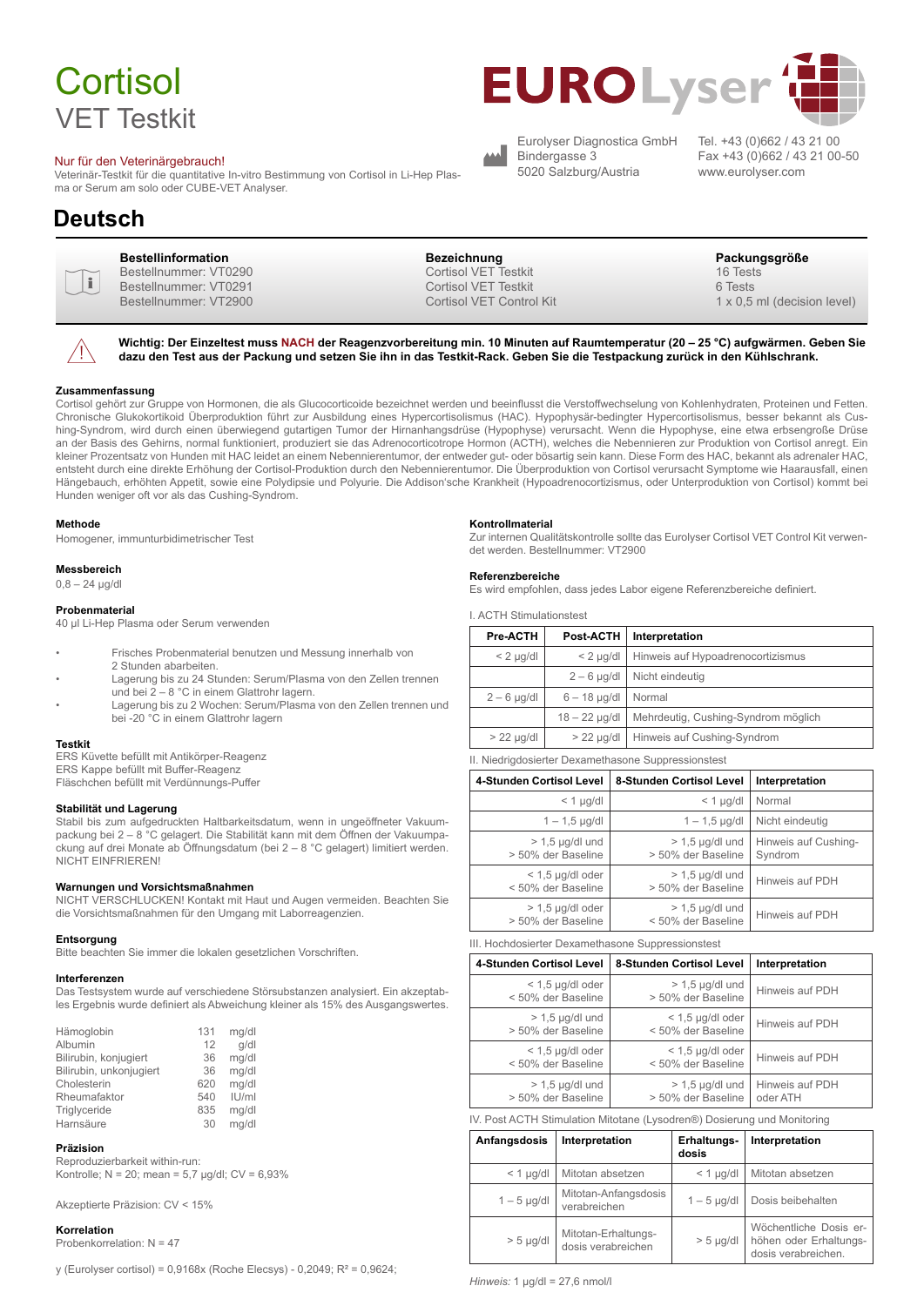# **Cortisol** VET Testkit

#### Nur für den Veterinärgebrauch!

Veterinär-Testkit für die quantitative In-vitro Bestimmung von Cortisol in Li-Hep Plasma or Serum am solo oder CUBE-VET Analyser.

### **Deutsch**



 $\bigwedge$ 

Bestellnummer: VT0290 Bestellnummer: VT0291 Bestellnummer: VT2900

**Bestellinformation Bezeichnung Packungsgröße** Cortisol VET Testkit Cortisol VET Testkit Cortisol VET Control Kit

www.eurolyser.com

1 x 0,5 ml (decision level)

16 Tests 6 Tests

**Wichtig: Der Einzeltest muss NACH der Reagenzvorbereitung min. 10 Minuten auf Raumtemperatur (20 – 25 °C) aufgwärmen. Geben Sie dazu den Test aus der Packung und setzen Sie ihn in das Testkit-Rack. Geben Sie die Testpackung zurück in den Kühlschrank.**

#### **Zusammenfassung**

Cortisol gehört zur Gruppe von Hormonen, die als Glucocorticoide bezeichnet werden und beeinflusst die Verstoffwechselung von Kohlenhydraten, Proteinen und Fetten. Chronische Glukokortikoid Überproduktion führt zur Ausbildung eines Hypercortisolismus (HAC). Hypophysär-bedingter Hypercortisolismus, besser bekannt als Cushing-Syndrom, wird durch einen überwiegend gutartigen Tumor der Hirnanhangsdrüse (Hypophyse) verursacht. Wenn die Hypophyse, eine etwa erbsengroße Drüse an der Basis des Gehirns, normal funktioniert, produziert sie das Adrenocorticotrope Hormon (ACTH), welches die Nebennieren zur Produktion von Cortisol anregt. Ein kleiner Prozentsatz von Hunden mit HAC leidet an einem Nebennierentumor, der entweder gut- oder bösartig sein kann. Diese Form des HAC, bekannt als adrenaler HAC, entsteht durch eine direkte Erhöhung der Cortisol-Produktion durch den Nebennierentumor. Die Überproduktion von Cortisol verursacht Symptome wie Haarausfall, einen Hängebauch, erhöhten Appetit, sowie eine Polydipsie und Polyurie. Die Addison'sche Krankheit (Hypoadrenocortizismus, oder Unterproduktion von Cortisol) kommt bei Hunden weniger oft vor als das Cushing-Syndrom.

#### **Methode**

Homogener, immunturbidimetrischer Test

#### **Messbereich**

 $0,8 - 24$  µg/dl

#### **Probenmaterial**

40 µl Li-Hep Plasma oder Serum verwenden

- Frisches Probenmaterial benutzen und Messung innerhalb von 2 Stunden abarbeiten.
- Lagerung bis zu 24 Stunden: Serum/Plasma von den Zellen trennen und bei 2 – 8 °C in einem Glattrohr lagern.
- Lagerung bis zu 2 Wochen: Serum/Plasma von den Zellen trennen und bei -20 °C in einem Glattrohr lagern

#### **Testkit**

ERS Küvette befüllt mit Antikörper-Reagenz ERS Kappe befüllt mit Buffer-Reagenz

Fläschchen befüllt mit Verdünnungs-Puffer

#### **Stabilität und Lagerung**

Stabil bis zum aufgedruckten Haltbarkeitsdatum, wenn in ungeöffneter Vakuumpackung bei 2 – 8 °C gelagert. Die Stabilität kann mit dem Öffnen der Vakuumpackung auf drei Monate ab Öffnungsdatum (bei 2 – 8 °C gelagert) limitiert werden. NICHT EINFRIEREN!

#### **Warnungen und Vorsichtsmaßnahmen**

NICHT VERSCHLUCKEN! Kontakt mit Haut und Augen vermeiden. Beachten Sie die Vorsichtsmaßnahmen für den Umgang mit Laborreagenzien.

#### **Entsorgung**

Bitte beachten Sie immer die lokalen gesetzlichen Vorschriften.

#### **Interferenzen**

Das Testsystem wurde auf verschiedene Störsubstanzen analysiert. Ein akzeptables Ergebnis wurde definiert als Abweichung kleiner als 15% des Ausgangswertes.

| Hämoglobin              | 131 | mg/dl |
|-------------------------|-----|-------|
| Albumin                 | 12  | q/dl  |
| Bilirubin, konjugiert   | 36  | mg/dl |
| Bilirubin, unkonjugiert | 36  | mg/dl |
| Cholesterin             | 620 | mg/dl |
| Rheumafaktor            | 540 | IU/ml |
| Triglyceride            | 835 | mg/dl |
| Harnsäure               | 30  | mg/dl |
|                         |     |       |

#### **Präzision**

Reproduzierbarkeit within-run: Kontrolle; N = 20; mean = 5,7 µg/dl; CV = 6,93%

Akzeptierte Präzision: CV < 15%

#### **Korrelation**

Probenkorrelation: N = 47

y (Eurolyser cortisol) = 0,9168x (Roche Elecsys) - 0,2049; R² = 0,9624;

#### **Kontrollmaterial**

Zur internen Qualitätskontrolle sollte das Eurolyser Cortisol VET Control Kit verwendet werden. Bestellnummer: VT2900

#### **Referenzbereiche**

Es wird empfohlen, dass jedes Labor eigene Referenzbereiche definiert.

I. ACTH Stimulationstest

| Pre-ACTH     | Post-ACTH       | Interpretation                      |  |
|--------------|-----------------|-------------------------------------|--|
| $< 2$ µg/dl  | $< 2$ µg/dl     | Hinweis auf Hypoadrenocortizismus   |  |
|              | $2 - 6$ µg/dl   | Nicht eindeutig                     |  |
| $2-6$ µg/dl  | $6 - 18$ µg/dl  | Normal                              |  |
|              | $18 - 22$ µg/dl | Mehrdeutig, Cushing-Syndrom möglich |  |
| $> 22$ µg/dl | $> 22$ µg/dl    | Hinweis auf Cushing-Syndrom         |  |
|              |                 |                                     |  |

II. Niedrigdosierter Dexamethasone Suppressionstest

Eurolyser Diagnostica GmbH

**EUROLyser** 

Bindergasse 3 5020 Salzburg/Austria

| 4-Stunden Cortisol Level                 | 8-Stunden Cortisol Level                | Interpretation                  |
|------------------------------------------|-----------------------------------------|---------------------------------|
| $<$ 1 $\mu$ g/dl                         | $<$ 1 $\mu$ g/dl                        | Normal                          |
| $1 - 1,5$ µg/dl                          | $1 - 1.5$ µg/dl                         | Nicht eindeutig                 |
| $> 1.5$ µg/dl und<br>> 50% der Baseline  | $> 1.5$ µg/dl und<br>> 50% der Baseline | Hinweis auf Cushing-<br>Syndrom |
| $<$ 1,5 µg/dl oder<br>< 50% der Baseline | $> 1.5$ µg/dl und<br>> 50% der Baseline | Hinweis auf PDH                 |
| $> 1.5$ µg/dl oder<br>> 50% der Baseline | $> 1.5$ µg/dl und<br>< 50% der Baseline | Hinweis auf PDH                 |

III. Hochdosierter Dexamethasone Suppressionstest

| 4-Stunden Cortisol Level                 | 8-Stunden Cortisol Level                 | Interpretation              |
|------------------------------------------|------------------------------------------|-----------------------------|
| $<$ 1,5 µg/dl oder<br>< 50% der Baseline | $> 1.5$ µg/dl und<br>> 50% der Baseline  | Hinweis auf PDH             |
| $> 1.5$ µg/dl und<br>> 50% der Baseline  | $<$ 1,5 µg/dl oder<br>< 50% der Baseline | Hinweis auf PDH             |
| $<$ 1,5 µg/dl oder<br>< 50% der Baseline | $<$ 1,5 µg/dl oder<br>< 50% der Baseline | Hinweis auf PDH             |
| $>$ 1.5 µg/dl und<br>> 50% der Baseline  | $> 1.5$ µg/dl und<br>> 50% der Baseline  | Hinweis auf PDH<br>oder ATH |

IV. Post ACTH Stimulation Mitotane (Lysodren®) Dosierung und Monitoring

| Anfangsdosis     | Interpretation                            | Erhaltungs-<br>dosis | Interpretation                                                          |
|------------------|-------------------------------------------|----------------------|-------------------------------------------------------------------------|
| $<$ 1 $\mu$ g/dl | Mitotan absetzen                          | $<$ 1 $\mu$ g/dl     | Mitotan absetzen                                                        |
| $1-5$ µg/dl      | Mitotan-Anfangsdosis<br>verabreichen      | $1-5$ µg/dl          | Dosis beibehalten                                                       |
| $> 5$ µg/dl      | Mitotan-Erhaltungs-<br>dosis verabreichen | $> 5$ µg/dl          | Wöchentliche Dosis er-<br>höhen oder Erhaltungs-<br>dosis verabreichen. |

*Hinweis:* 1 µg/dl = 27,6 nmol/l

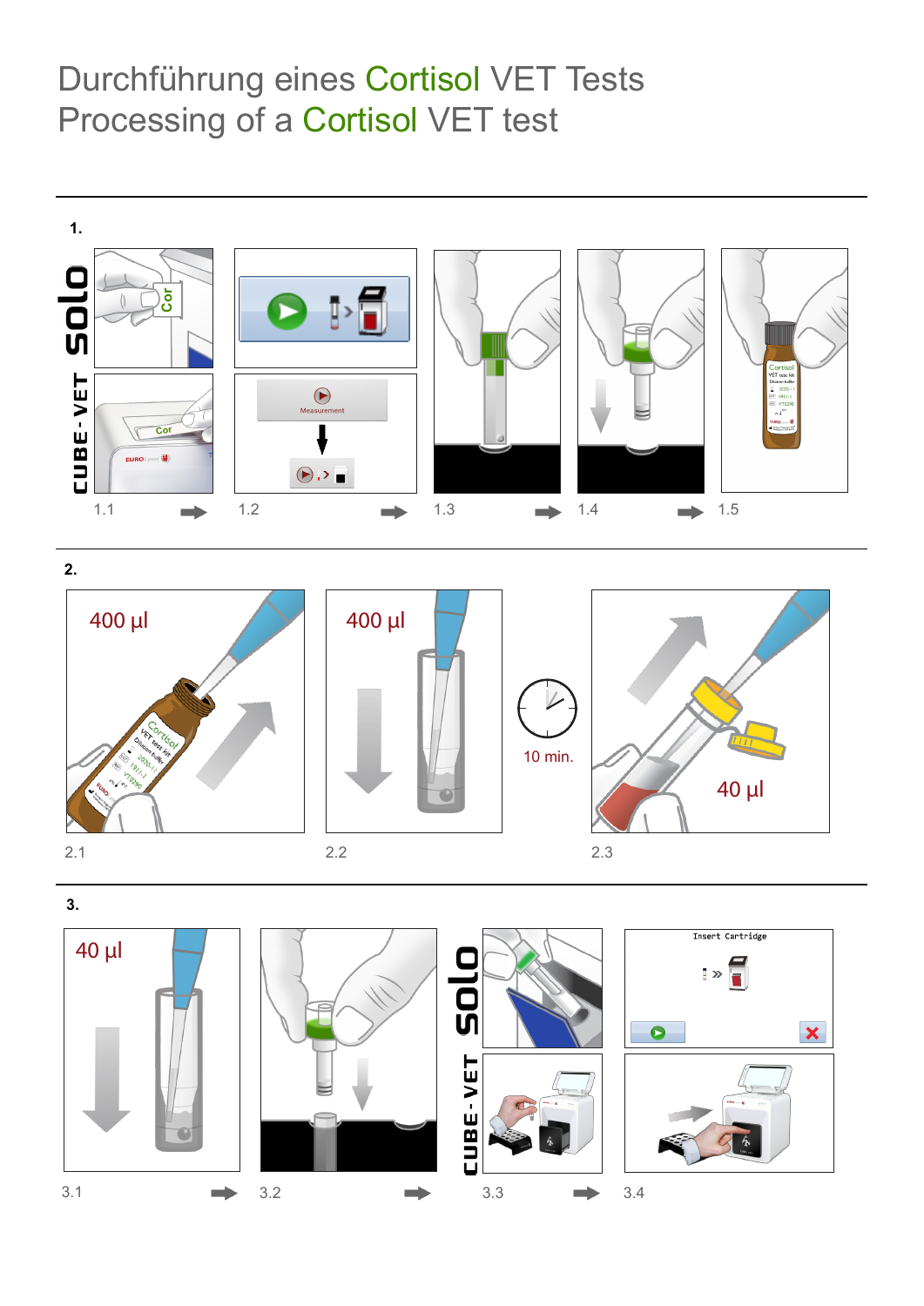# Durchführung eines Cortisol VET Tests Processing of a Cortisol VET test